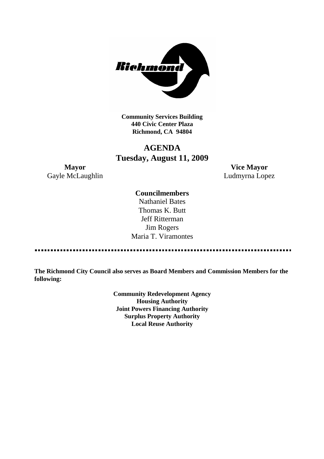

**Community Services Building 440 Civic Center Plaza Richmond, CA 94804**

## **AGENDA Tuesday, August 11, 2009**

Gayle McLaughlin Ludmyrna Lopez

**Mayor Vice Mayor**

#### **Councilmembers**

Nathaniel Bates Thomas K. Butt Jeff Ritterman Jim Rogers Maria T. Viramontes

<u>...............................</u>

**The Richmond City Council also serves as Board Members and Commission Members for the following:**

> **Community Redevelopment Agency Housing Authority Joint Powers Financing Authority Surplus Property Authority Local Reuse Authority**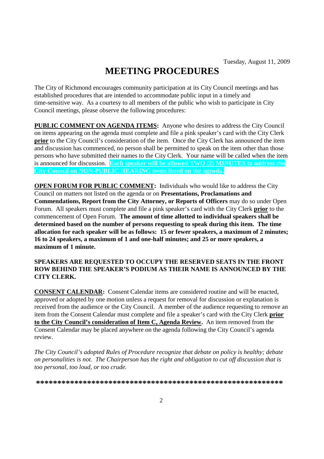# **MEETING PROCEDURES**

The City of Richmond encourages community participation at its City Council meetings and has established procedures that are intended to accommodate public input in a timely and time-sensitive way. As a courtesy to all members of the public who wish to participate in City Council meetings, please observe the following procedures:

**PUBLIC COMMENT ON AGENDA ITEMS:** Anyone who desires to address the City Council on items appearing on the agenda must complete and file a pink speaker's card with the City Clerk **prior** to the City Council's consideration of the item. Once the City Clerk has announced the item and discussion has commenced, no person shall be permitted to speak on the item other than those persons who have submitted their names to the City Clerk. Your name will be called when the item is announced for discussion. **Each speaker will be allowed TWO (2) MINUTES to address the City Council on NON-PUBLIC HEARING items listed on the agenda.**

**OPEN FORUM FOR PUBLIC COMMENT:** Individuals who would like to address the City Council on matters not listed on the agenda or on **Presentations, Proclamations and Commendations, Report from the City Attorney, or Reports of Officers** may do so under Open Forum. All speakers must complete and file a pink speaker's card with the City Clerk **prior** to the commencement of Open Forum. **The amount of time allotted to individual speakers shall be determined based on the number of persons requesting to speak during this item. The time allocation for each speaker will be as follows: 15 or fewer speakers, a maximum of 2 minutes; 16 to 24 speakers, a maximum of 1 and one-half minutes; and 25 or more speakers, a maximum of 1 minute.**

#### **SPEAKERS ARE REQUESTED TO OCCUPY THE RESERVED SEATS IN THE FRONT ROW BEHIND THE SPEAKER'S PODIUM AS THEIR NAME IS ANNOUNCED BY THE CITY CLERK.**

**CONSENT CALENDAR:** Consent Calendar items are considered routine and will be enacted, approved or adopted by one motion unless a request for removal for discussion or explanation is received from the audience or the City Council. A member of the audience requesting to remove an item from the Consent Calendar must complete and file a speaker's card with the City Clerk **prior to the City Council's consideration of Item C, Agenda Review.** An item removed from the Consent Calendar may be placed anywhere on the agenda following the City Council's agenda review.

*The City Council's adopted Rules of Procedure recognize that debate on policy is healthy; debate on personalities is not. The Chairperson has the right and obligation to cut off discussion that is too personal, too loud, or too crude.*

**\*\*\*\*\*\*\*\*\*\*\*\*\*\*\*\*\*\*\*\*\*\*\*\*\*\*\*\*\*\*\*\*\*\*\*\*\*\*\*\*\*\*\*\*\*\*\*\*\*\*\*\*\*\*\*\*\*\***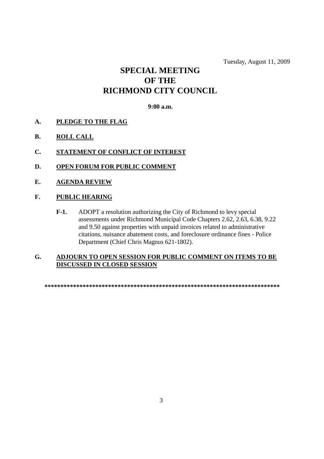Tuesday, August 11, 2009

## **SPECIAL MEETING OF THE RICHMOND CITY COUNCIL**

#### **9:00 a.m.**

- **A. PLEDGE TO THE FLAG**
- **B. ROLL CALL**
- **C. STATEMENT OF CONFLICT OF INTEREST**
- **D. OPEN FORUM FOR PUBLIC COMMENT**
- **E. AGENDA REVIEW**
- **F. PUBLIC HEARING**
	- **F-1.** ADOPT a resolution authorizing the City of Richmond to levy special assessments under Richmond Municipal Code Chapters 2.62, 2.63, 6.38, 9.22 and 9.50 against properties with unpaid invoices related to administrative citations, nuisance abatement costs, and foreclosure ordinance fines - Police Department (Chief Chris Magnus 621-1802).

#### **G. ADJOURN TO OPEN SESSION FOR PUBLIC COMMENT ON ITEMS TO BE DISCUSSED IN CLOSED SESSION**

**\*\*\*\*\*\*\*\*\*\*\*\*\*\*\*\*\*\*\*\*\*\*\*\*\*\*\*\*\*\*\*\*\*\*\*\*\*\*\*\*\*\*\*\*\*\*\*\*\*\*\*\*\*\*\*\*\*\*\*\*\*\*\*\*\*\*\*\*\*\*\*\*\*\***